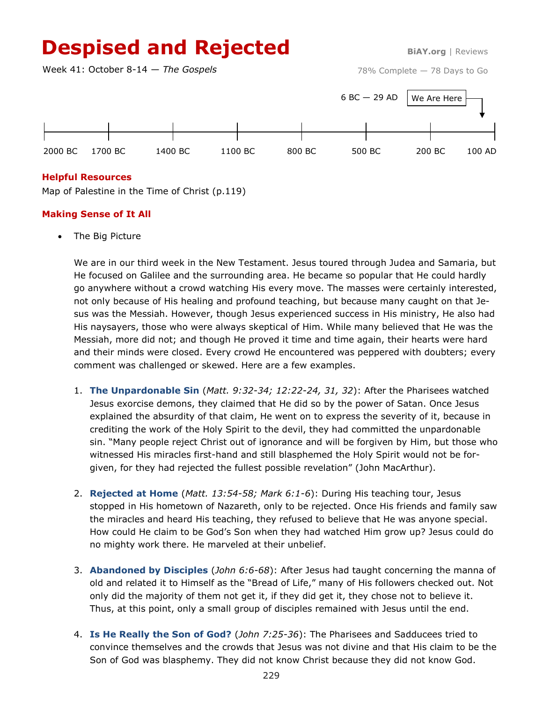# **Despised and Rejected** BiAY.org | Reviews

Week 41: October 8-14 — *The Gospels*

78% Complete — 78 Days to Go



### **Helpful Resources**

Map of Palestine in the Time of Christ (p.119)

## **Making Sense of It All**

The Big Picture

We are in our third week in the New Testament. Jesus toured through Judea and Samaria, but He focused on Galilee and the surrounding area. He became so popular that He could hardly go anywhere without a crowd watching His every move. The masses were certainly interested, not only because of His healing and profound teaching, but because many caught on that Jesus was the Messiah. However, though Jesus experienced success in His ministry, He also had His naysayers, those who were always skeptical of Him. While many believed that He was the Messiah, more did not; and though He proved it time and time again, their hearts were hard and their minds were closed. Every crowd He encountered was peppered with doubters; every comment was challenged or skewed. Here are a few examples.

- 1. **The Unpardonable Sin** (*Matt. 9:32-34; 12:22-24, 31, 32*): After the Pharisees watched Jesus exorcise demons, they claimed that He did so by the power of Satan. Once Jesus explained the absurdity of that claim, He went on to express the severity of it, because in crediting the work of the Holy Spirit to the devil, they had committed the unpardonable sin. "Many people reject Christ out of ignorance and will be forgiven by Him, but those who witnessed His miracles first-hand and still blasphemed the Holy Spirit would not be forgiven, for they had rejected the fullest possible revelation" (John MacArthur).
- 2. **Rejected at Home** (*Matt. 13:54-58; Mark 6:1-6*): During His teaching tour, Jesus stopped in His hometown of Nazareth, only to be rejected. Once His friends and family saw the miracles and heard His teaching, they refused to believe that He was anyone special. How could He claim to be God's Son when they had watched Him grow up? Jesus could do no mighty work there. He marveled at their unbelief.
- 3. **Abandoned by Disciples** (*John 6:6-68*): After Jesus had taught concerning the manna of old and related it to Himself as the "Bread of Life," many of His followers checked out. Not only did the majority of them not get it, if they did get it, they chose not to believe it. Thus, at this point, only a small group of disciples remained with Jesus until the end.
- 4. **Is He Really the Son of God?** (*John 7:25-36*): The Pharisees and Sadducees tried to convince themselves and the crowds that Jesus was not divine and that His claim to be the Son of God was blasphemy. They did not know Christ because they did not know God.